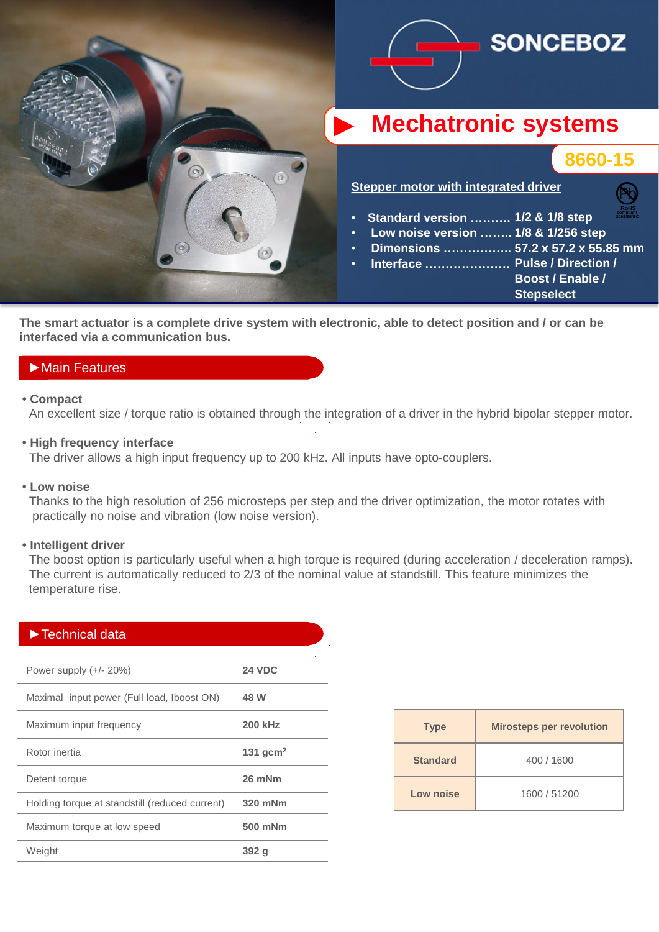

**The smart actuator is a complete drive system with electronic, able to detect position and / or can be interfaced via a communication bus.**

## ►Main Features

#### **• Compact**

An excellent size / torque ratio is obtained through the integration of a driver in the hybrid bipolar stepper motor.

### **• High frequency interface**

The driver allows a high input frequency up to 200 kHz. All inputs have opto-couplers.

#### **• Low noise**

 Thanks to the high resolution of 256 microsteps per step and the driver optimization, the motor rotates with practically no noise and vibration (low noise version).

#### **• Intelligent driver**

The boost option is particularly useful when a high torque is required (during acceleration / deceleration ramps). The current is automatically reduced to 2/3 of the nominal value at standstill. This feature minimizes the temperature rise.

### ►Technical data

| Power supply $(+/- 20%)$                       | <b>24 VDC</b>  |
|------------------------------------------------|----------------|
| Maximal input power (Full load, Iboost ON)     | 48 W           |
| Maximum input frequency                        | <b>200 kHz</b> |
| Rotor inertia                                  | 131 $qcm2$     |
| Detent torque                                  | 26 mNm         |
| Holding torque at standstill (reduced current) | 320 mNm        |
| Maximum torque at low speed                    | 500 mNm        |
| Weight                                         | 392 q          |

| <b>Type</b>     | <b>Mirosteps per revolution</b> |
|-----------------|---------------------------------|
| <b>Standard</b> | 400 / 1600                      |
| Low noise       | 1600 / 51200                    |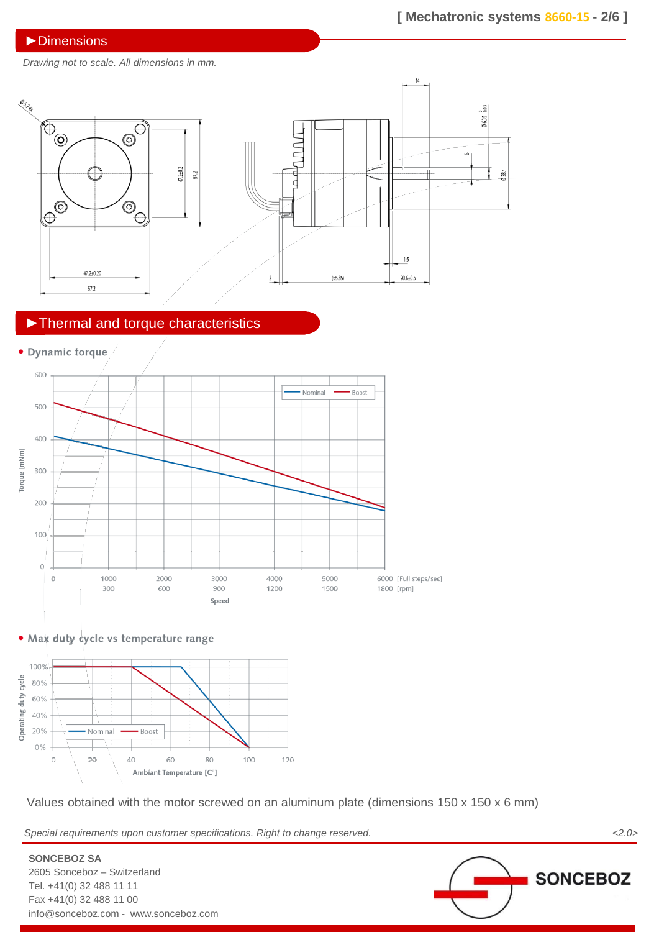### ►Dimensions

*Drawing not to scale. All dimensions in mm.*



# ►Thermal and torque characteristics





**SONCEBOZ SA**

2605 Sonceboz – Switzerland Tel. +41(0) 32 488 11 11 Fax +41(0) 32 488 11 00



Values obtained with the motor screwed on an aluminum plate (dimensions 150 x 150 x 6 mm)

*Special requirements upon customer specifications. Right to change reserved. <2.0>*

**SONCEBOZ** info@sonceboz.com - www.sonceboz.com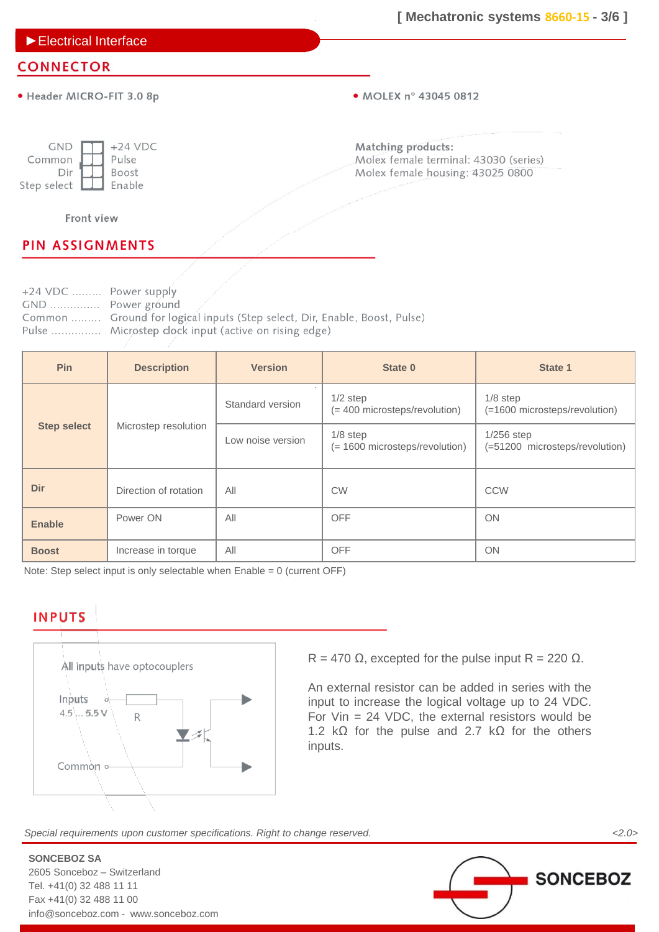►Electrical Interface

### **CONNECTOR**

· Header MICRO-FIT 3.0 8p

• MOLEX n° 43045 0812

| <b>GND</b>  | $+24$ VDC |
|-------------|-----------|
| Common      | Pulse     |
| Dir         | Boost     |
| Step select | Enable    |

Matching products: Molex female terminal: 43030 (series) Molex female housing: 43025 0800

Front view

## **PIN ASSIGNMENTS**

+24 VDC ......... Power supply GND ............... Power ground Common ........ Ground for logical inputs (Step select, Dir, Enable, Boost, Pulse) Pulse ............... Microstep clock input (active on rising edge)

| <b>Pin</b>         | <b>Description</b>    | <b>Version</b>    | State 0                                      | State 1                                        |
|--------------------|-----------------------|-------------------|----------------------------------------------|------------------------------------------------|
|                    |                       | Standard version  | $1/2$ step<br>(= 400 microsteps/revolution)  | $1/8$ step<br>(=1600 microsteps/revolution)    |
| <b>Step select</b> | Microstep resolution  | Low noise version | $1/8$ step<br>(= 1600 microsteps/revolution) | $1/256$ step<br>(=51200 microsteps/revolution) |
| <b>Dir</b>         | Direction of rotation | All               | <b>CW</b>                                    | <b>CCW</b>                                     |
| <b>Enable</b>      | Power ON              | All               | <b>OFF</b>                                   | ON                                             |
| <b>Boost</b>       | Increase in torque    | All               | <b>OFF</b>                                   | ON                                             |

Note: Step select input is only selectable when  $Enable = 0$  (current OFF)

# **INPUTS**



R = 470  $\Omega$ , excepted for the pulse input R = 220  $\Omega$ .

An external resistor can be added in series with the input to increase the logical voltage up to 24 VDC. For Vin = 24 VDC, the external resistors would be 1.2 kΩ for the pulse and 2.7 kΩ for the others inputs.

*Special requirements upon customer specifications. Right to change reserved. <2.0>*

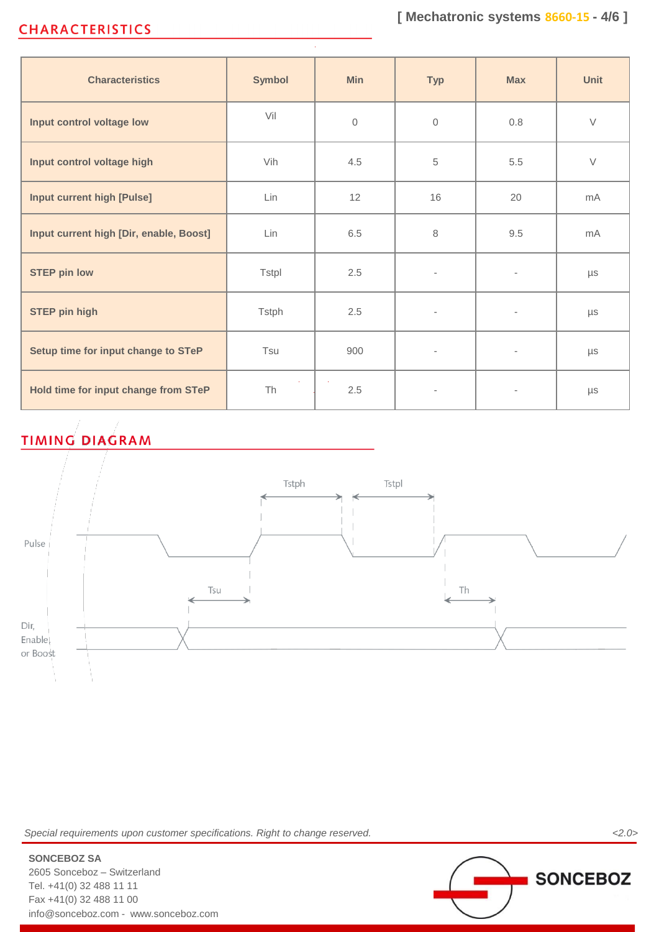# **CHARACTERISTICS**

| <b>Characteristics</b>                  | <b>Symbol</b> | <b>Min</b>     | <b>Typ</b>               | <b>Max</b>                   | <b>Unit</b>    |
|-----------------------------------------|---------------|----------------|--------------------------|------------------------------|----------------|
| Input control voltage low               | Vil           | $\overline{0}$ | $\mathbf{0}$             | 0.8                          | $\vee$         |
| Input control voltage high              | Vih           | 4.5            | 5                        | 5.5                          | $\vee$         |
| <b>Input current high [Pulse]</b>       | Lin           | 12             | 16                       | 20                           | mA             |
| Input current high [Dir, enable, Boost] | Lin           | 6.5            | 8                        | 9.5                          | m <sub>A</sub> |
| <b>STEP pin low</b>                     | <b>Tstpl</b>  | 2.5            | $\bar{ }$                | $\qquad \qquad \blacksquare$ | μs             |
| <b>STEP pin high</b>                    | <b>Tstph</b>  | 2.5            | $\overline{\phantom{0}}$ | $\overline{\phantom{a}}$     | $\mu s$        |
| Setup time for input change to STeP     | Tsu           | 900            | $\overline{\phantom{0}}$ | $\overline{\phantom{a}}$     | μs             |
| Hold time for input change from STeP    | Th            | 2.5            |                          |                              | $\mu s$        |

# **TIMING DIAGRAM**



*Special requirements upon customer specifications. Right to change reserved. <2.0>*

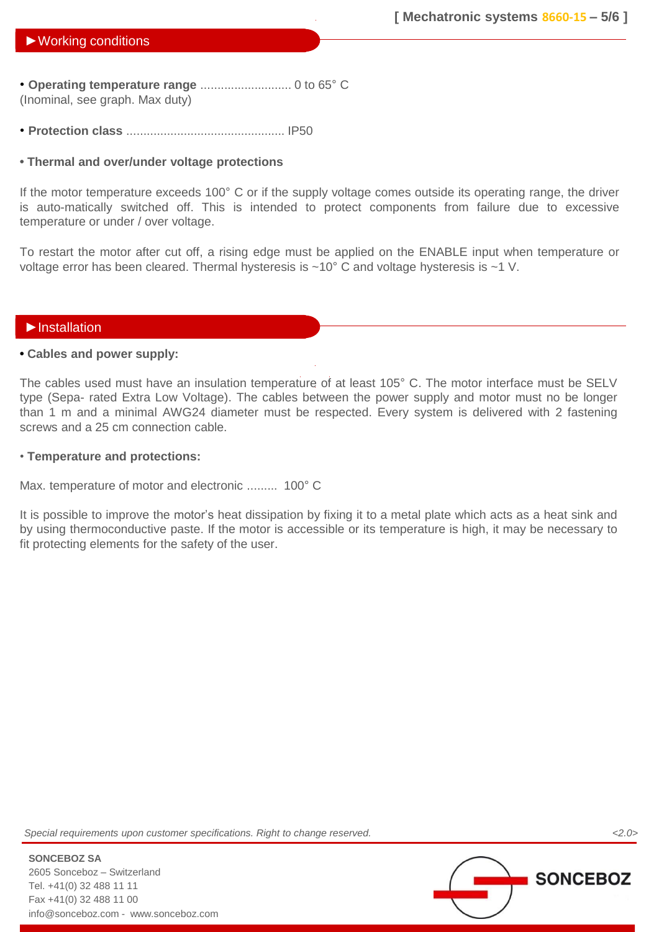• **Operating temperature range** ........................... 0 to 65° C (Inominal, see graph. Max duty)

• **Protection class** ............................................... IP50

### **• Thermal and over/under voltage protections**

If the motor temperature exceeds 100° C or if the supply voltage comes outside its operating range, the driver is auto-matically switched off. This is intended to protect components from failure due to excessive temperature or under / over voltage.

To restart the motor after cut off, a rising edge must be applied on the ENABLE input when temperature or voltage error has been cleared. Thermal hysteresis is ~10° C and voltage hysteresis is ~1 V.

### ►Installation

### **• Cables and power supply:**

The cables used must have an insulation temperature of at least 105° C. The motor interface must be SELV type (Sepa- rated Extra Low Voltage). The cables between the power supply and motor must no be longer than 1 m and a minimal AWG24 diameter must be respected. Every system is delivered with 2 fastening screws and a 25 cm connection cable.

### • **Temperature and protections:**

Max. temperature of motor and electronic ......... 100° C

It is possible to improve the motor's heat dissipation by fixing it to a metal plate which acts as a heat sink and by using thermoconductive paste. If the motor is accessible or its temperature is high, it may be necessary to fit protecting elements for the safety of the user.

*Special requirements upon customer specifications. Right to change reserved. <2.0>*